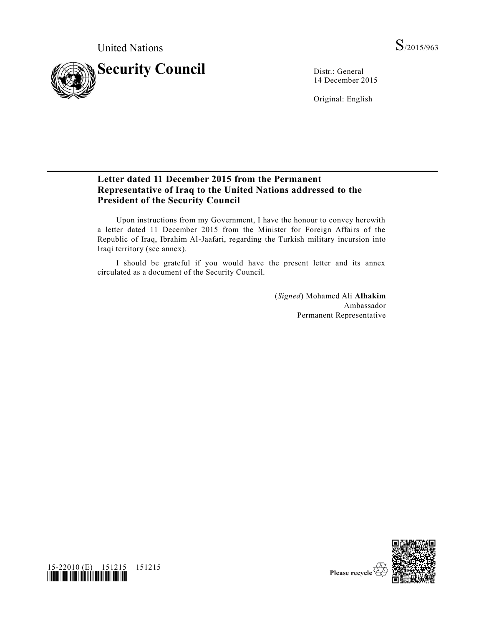

14 December 2015

Original: English

## **Letter dated 11 December 2015 from the Permanent Representative of Iraq to the United Nations addressed to the President of the Security Council**

Upon instructions from my Government, I have the honour to convey herewith a letter dated 11 December 2015 from the Minister for Foreign Affairs of the Republic of Iraq, Ibrahim Al-Jaafari, regarding the Turkish military incursion into Iraqi territory (see annex).

I should be grateful if you would have the present letter and its annex circulated as a document of the Security Council.

> (*Signed*) Mohamed Ali **Alhakim** Ambassador Permanent Representative



15-22010 (E) 151215 151215 *\*1522010\**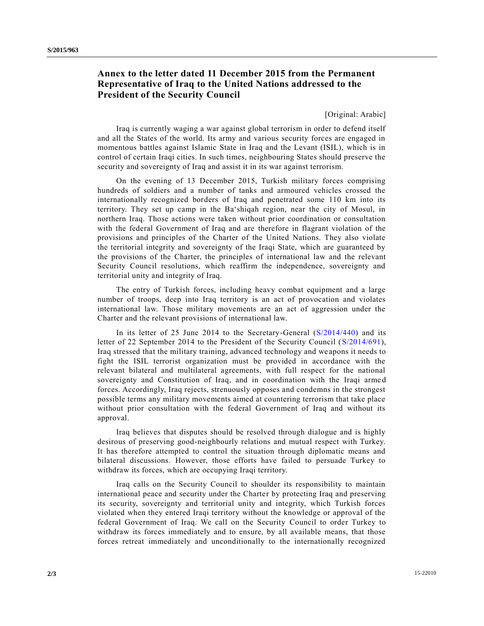## **Annex to the letter dated 11 December 2015 from the Permanent Representative of Iraq to the United Nations addressed to the President of the Security Council**

[Original: Arabic]

Iraq is currently waging a war against global terrorism in order to defend itself and all the States of the world. Its army and various security forces are engaged in momentous battles against Islamic State in Iraq and the Levant (ISIL), which is in control of certain Iraqi cities. In such times, neighbouring States should preserve the security and sovereignty of Iraq and assist it in its war against terrorism.

On the evening of 13 December 2015, Turkish military forces comprising hundreds of soldiers and a number of tanks and armoured vehicles crossed the internationally recognized borders of Iraq and penetrated some 110 km into its territory. They set up camp in the Ba'shiqah region, near the city of Mosul, in northern Iraq. Those actions were taken without prior coordination or consultation with the federal Government of Iraq and are therefore in flagrant violation of the provisions and principles of the Charter of the United Nations. They also violate the territorial integrity and sovereignty of the Iraqi State, which are guaranteed by the provisions of the Charter, the principles of international law and the relevant Security Council resolutions, which reaffirm the independence, sovereignty and territorial unity and integrity of Iraq.

The entry of Turkish forces, including heavy combat equipment and a large number of troops, deep into Iraq territory is an act of provocation and violates international law. Those military movements are an act of aggression under the Charter and the relevant provisions of international law.

In its letter of 25 June 2014 to the Secretary-General [\(S/2014/440\)](http://undocs.org/S/2014/440) and its letter of 22 September 2014 to the President of the Security Council [\(S/2014/691\)](http://undocs.org/S/2014/691), Iraq stressed that the military training, advanced technology and we apons it needs to fight the ISIL terrorist organization must be provided in accordance with the relevant bilateral and multilateral agreements, with full respect for the national sovereignty and Constitution of Iraq, and in coordination with the Iraqi arme d forces. Accordingly, Iraq rejects, strenuously opposes and condemns in the strongest possible terms any military movements aimed at countering terrorism that take place without prior consultation with the federal Government of Iraq and without its approval.

Iraq believes that disputes should be resolved through dialogue and is highly desirous of preserving good-neighbourly relations and mutual respect with Turkey. It has therefore attempted to control the situation through diplomatic means and bilateral discussions. However, those efforts have failed to persuade Turkey to withdraw its forces, which are occupying Iraqi territory.

Iraq calls on the Security Council to shoulder its responsibility to maintain international peace and security under the Charter by protecting Iraq and preserving its security, sovereignty and territorial unity and integrity, which Turkish forces violated when they entered Iraqi territory without the knowledge or approval of the federal Government of Iraq. We call on the Security Council to order Turkey to withdraw its forces immediately and to ensure, by all available means, that those forces retreat immediately and unconditionally to the internationally recognized